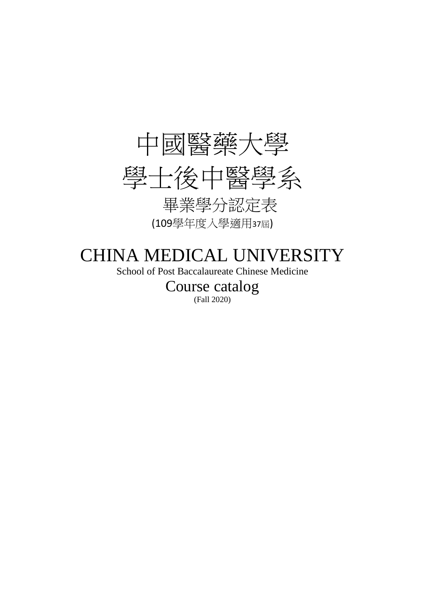

# CHINA MEDICAL UNIVERSITY

School of Post Baccalaureate Chinese Medicine

Course catalog (Fall 2020)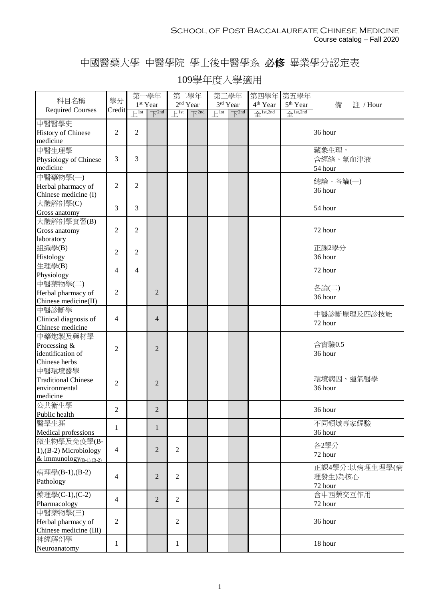### 中國醫藥大學 中醫學院 學士後中醫學系 必修 畢業學分認定表

|                                                                          |                | 第一學年                         |                                   | 第二學年              |                              | 第三學年                    |                                | 第四學年 第五學年                                 |                        |                                      |
|--------------------------------------------------------------------------|----------------|------------------------------|-----------------------------------|-------------------|------------------------------|-------------------------|--------------------------------|-------------------------------------------|------------------------|--------------------------------------|
| 科目名稱                                                                     | 學分             |                              | 1 <sup>st</sup> Year              | $2^{\rm nd}$ Year |                              |                         | 3rd Year                       | $4^{\rm th}$ Year                         | 5 <sup>th</sup> Year   | 備<br>註 / Hour                        |
| <b>Required Courses</b>                                                  | Credit         | $\overline{\phantom{1}}$ lst | $\overline{\bigtriangledown}$ 2nd | $\vdash$ 1st      | $\overline{\mathcal{N}}$ 2nd | $\vdash$ <sup>1st</sup> | $\overline{\mathcal{N}}^{2nd}$ | $\overbrace{\mathrm{+}}^{\text{1st,2nd}}$ | $4$ <sup>1st,2nd</sup> |                                      |
| 中醫醫學史<br><b>History of Chinese</b><br>medicine                           | 2              | $\overline{2}$               |                                   |                   |                              |                         |                                |                                           |                        | 36 hour                              |
| 中醫生理學<br>Physiology of Chinese<br>medicine                               | 3              | 3                            |                                   |                   |                              |                         |                                |                                           |                        | 藏象生理,<br>含經絡、氣血津液<br>54 hour         |
| 中醫藥物學(一)<br>Herbal pharmacy of<br>Chinese medicine (I)                   | 2              | $\overline{2}$               |                                   |                   |                              |                         |                                |                                           |                        | 總論、各論(一)<br>36 hour                  |
| 大體解剖學(C)<br>Gross anatomy                                                | 3              | 3                            |                                   |                   |                              |                         |                                |                                           |                        | 54 hour                              |
| 大體解剖學實習(B)<br>Gross anatomy<br>laboratory                                | $\overline{c}$ | $\overline{2}$               |                                   |                   |                              |                         |                                |                                           |                        | 72 hour                              |
| 組織學(B)<br>Histology                                                      | $\overline{2}$ | $\overline{2}$               |                                   |                   |                              |                         |                                |                                           |                        | 正課2學分<br>36 hour                     |
| 生理學(B)<br>Physiology                                                     | 4              | $\overline{4}$               |                                   |                   |                              |                         |                                |                                           |                        | 72 hour                              |
| 中醫藥物學(二)<br>Herbal pharmacy of<br>Chinese medicine(II)                   | 2              |                              | $\overline{2}$                    |                   |                              |                         |                                |                                           |                        | 各論(二)<br>36 hour                     |
| 中醫診斷學<br>Clinical diagnosis of<br>Chinese medicine                       | 4              |                              | $\overline{4}$                    |                   |                              |                         |                                |                                           |                        | 中醫診斷原理及四診技能<br>72 hour               |
| 中藥炮製及藥材學<br>Processing &<br>identification of<br>Chinese herbs           | $\overline{2}$ |                              | $\mathfrak{D}$                    |                   |                              |                         |                                |                                           |                        | 含實驗0.5<br>36 hour                    |
| 中醫環境醫學<br><b>Traditional Chinese</b><br>environmental<br>medicine        | $\overline{c}$ |                              | $\overline{2}$                    |                   |                              |                         |                                |                                           |                        | 環境病因、運氣醫學<br>36 hour                 |
| 公共衛生學<br>Public health                                                   | $\overline{c}$ |                              | $\overline{c}$                    |                   |                              |                         |                                |                                           |                        | 36 hour                              |
| 醫學生涯<br>Medical professions                                              | $\mathbf{1}$   |                              | 1                                 |                   |                              |                         |                                |                                           |                        | 不同領域專家經驗<br>36 hour                  |
| 微生物學及免疫學(B-<br>$1$ , (B-2) Microbiology<br>& immunology $_{(B-1),(B-2)}$ | 4              |                              | $\overline{2}$                    | $\overline{2}$    |                              |                         |                                |                                           |                        | 各2學分<br>72 hour                      |
| 病理學(B-1),(B-2)<br>Pathology                                              | 4              |                              | $\overline{2}$                    | $\overline{2}$    |                              |                         |                                |                                           |                        | 正課4學分:以病理生理學(病<br>理發生)為核心<br>72 hour |
| 藥理學(C-1),(C-2)<br>Pharmacology                                           | 4              |                              | $\overline{2}$                    | $\overline{2}$    |                              |                         |                                |                                           |                        | 含中西藥交互作用<br>72 hour                  |
| 中醫藥物學(三)<br>Herbal pharmacy of<br>Chinese medicine (III)                 | $\overline{2}$ |                              |                                   | $\overline{2}$    |                              |                         |                                |                                           |                        | 36 hour                              |
| 神經解剖學<br>Neuroanatomy                                                    | 1              |                              |                                   | $\mathbf{1}$      |                              |                         |                                |                                           |                        | 18 hour                              |

### 109學年度入學適用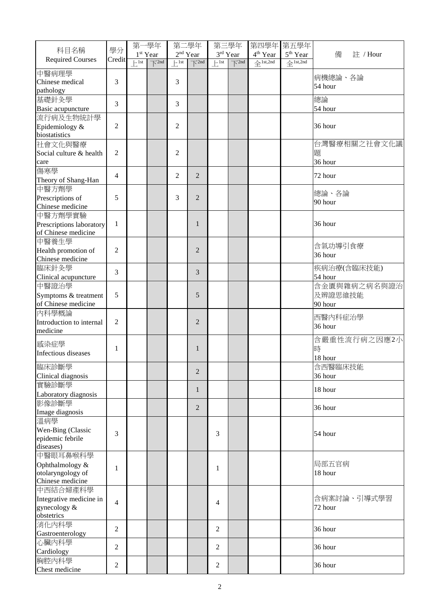| 科目名稱                                    | 學分             | 第一學年                                                                                                                                                                                                                                                                                                                                                                                                    |                                       | 第二學年                         |                                | 第三學年                         |                                   | 第四學年              | 第五學年                            |               |
|-----------------------------------------|----------------|---------------------------------------------------------------------------------------------------------------------------------------------------------------------------------------------------------------------------------------------------------------------------------------------------------------------------------------------------------------------------------------------------------|---------------------------------------|------------------------------|--------------------------------|------------------------------|-----------------------------------|-------------------|---------------------------------|---------------|
| <b>Required Courses</b>                 | Credit         |                                                                                                                                                                                                                                                                                                                                                                                                         | 1 <sup>st</sup> Year                  | $2^{\rm nd}$ Year            |                                |                              | 3rd Year                          | $4^{\rm th}$ Year | 5 <sup>th</sup> Year            | 備<br>註 / Hour |
|                                         |                | $\left[\frac{1}{1} + \frac{1}{1} + \frac{1}{1} + \frac{1}{1} + \frac{1}{1} + \frac{1}{1} + \frac{1}{1} + \frac{1}{1} + \frac{1}{1} + \frac{1}{1} + \frac{1}{1} + \frac{1}{1} + \frac{1}{1} + \frac{1}{1} + \frac{1}{1} + \frac{1}{1} + \frac{1}{1} + \frac{1}{1} + \frac{1}{1} + \frac{1}{1} + \frac{1}{1} + \frac{1}{1} + \frac{1}{1} + \frac{1}{1} + \frac{1}{1} + \frac{1}{1} + \frac{1}{1} + \frac$ | $\overline{\bigwedge}$ <sup>2nd</sup> | $\left  \frac{1}{1} \right $ | $\overline{\mathcal{N}}^{2nd}$ | $\left  \cdot \right ^{1st}$ | $\overline{\bigtriangledown}$ 2nd | $4$ lst,2nd       | $\triangleq$ <sup>1st,2nd</sup> |               |
| 中醫病理學                                   |                |                                                                                                                                                                                                                                                                                                                                                                                                         |                                       |                              |                                |                              |                                   |                   |                                 | 病機總論、各論       |
| Chinese medical                         | 3              |                                                                                                                                                                                                                                                                                                                                                                                                         |                                       | 3                            |                                |                              |                                   |                   |                                 | 54 hour       |
| pathology<br>基礎針灸學                      |                |                                                                                                                                                                                                                                                                                                                                                                                                         |                                       |                              |                                |                              |                                   |                   |                                 | 總論            |
| Basic acupuncture                       | 3              |                                                                                                                                                                                                                                                                                                                                                                                                         |                                       | 3                            |                                |                              |                                   |                   |                                 | 54 hour       |
| 流行病及生物統計學                               |                |                                                                                                                                                                                                                                                                                                                                                                                                         |                                       |                              |                                |                              |                                   |                   |                                 |               |
| Epidemiology &                          | $\overline{c}$ |                                                                                                                                                                                                                                                                                                                                                                                                         |                                       | 2                            |                                |                              |                                   |                   |                                 | 36 hour       |
| biostatistics                           |                |                                                                                                                                                                                                                                                                                                                                                                                                         |                                       |                              |                                |                              |                                   |                   |                                 |               |
| 社會文化與醫療                                 |                |                                                                                                                                                                                                                                                                                                                                                                                                         |                                       |                              |                                |                              |                                   |                   |                                 | 台灣醫療相關之社會文化議  |
| Social culture & health                 | $\overline{2}$ |                                                                                                                                                                                                                                                                                                                                                                                                         |                                       | 2                            |                                |                              |                                   |                   |                                 | 題             |
| care                                    |                |                                                                                                                                                                                                                                                                                                                                                                                                         |                                       |                              |                                |                              |                                   |                   |                                 | 36 hour       |
| 傷寒學                                     |                |                                                                                                                                                                                                                                                                                                                                                                                                         |                                       |                              |                                |                              |                                   |                   |                                 |               |
| Theory of Shang-Han                     | $\overline{4}$ |                                                                                                                                                                                                                                                                                                                                                                                                         |                                       | 2                            | $\overline{2}$                 |                              |                                   |                   |                                 | 72 hour       |
| 中醫方劑學                                   |                |                                                                                                                                                                                                                                                                                                                                                                                                         |                                       |                              |                                |                              |                                   |                   |                                 |               |
| Prescriptions of                        | 5              |                                                                                                                                                                                                                                                                                                                                                                                                         |                                       | 3                            | $\overline{2}$                 |                              |                                   |                   |                                 | 總論、各論         |
| Chinese medicine                        |                |                                                                                                                                                                                                                                                                                                                                                                                                         |                                       |                              |                                |                              |                                   |                   |                                 | 90 hour       |
| 中醫方劑學實驗                                 |                |                                                                                                                                                                                                                                                                                                                                                                                                         |                                       |                              |                                |                              |                                   |                   |                                 |               |
| Prescriptions laboratory                | 1              |                                                                                                                                                                                                                                                                                                                                                                                                         |                                       |                              | $\mathbf{1}$                   |                              |                                   |                   |                                 | 36 hour       |
| of Chinese medicine                     |                |                                                                                                                                                                                                                                                                                                                                                                                                         |                                       |                              |                                |                              |                                   |                   |                                 |               |
| 中醫養生學                                   |                |                                                                                                                                                                                                                                                                                                                                                                                                         |                                       |                              |                                |                              |                                   |                   |                                 | 含氣功導引食療       |
| Health promotion of                     | $\mathfrak{2}$ |                                                                                                                                                                                                                                                                                                                                                                                                         |                                       |                              | $\overline{2}$                 |                              |                                   |                   |                                 | 36 hour       |
| Chinese medicine                        |                |                                                                                                                                                                                                                                                                                                                                                                                                         |                                       |                              |                                |                              |                                   |                   |                                 |               |
| 臨床針灸學                                   | 3              |                                                                                                                                                                                                                                                                                                                                                                                                         |                                       |                              | 3                              |                              |                                   |                   |                                 | 疾病治療(含臨床技能)   |
| Clinical acupuncture                    |                |                                                                                                                                                                                                                                                                                                                                                                                                         |                                       |                              |                                |                              |                                   |                   |                                 | 54 hour       |
| 中醫證治學                                   |                |                                                                                                                                                                                                                                                                                                                                                                                                         |                                       |                              |                                |                              |                                   |                   |                                 | 含金匱與雜病之病名與證治  |
| Symptoms & treatment                    | 5              |                                                                                                                                                                                                                                                                                                                                                                                                         |                                       |                              | 5                              |                              |                                   |                   |                                 | 及辨證思維技能       |
| of Chinese medicine                     |                |                                                                                                                                                                                                                                                                                                                                                                                                         |                                       |                              |                                |                              |                                   |                   |                                 | 90 hour       |
| 內科學概論                                   |                |                                                                                                                                                                                                                                                                                                                                                                                                         |                                       |                              |                                |                              |                                   |                   |                                 | 西醫內科症治學       |
| Introduction to internal<br>medicine    | $\overline{2}$ |                                                                                                                                                                                                                                                                                                                                                                                                         |                                       |                              | $\overline{2}$                 |                              |                                   |                   |                                 | 36 hour       |
|                                         |                |                                                                                                                                                                                                                                                                                                                                                                                                         |                                       |                              |                                |                              |                                   |                   |                                 | 含嚴重性流行病之因應2小  |
| 感染症學                                    | 1              |                                                                                                                                                                                                                                                                                                                                                                                                         |                                       |                              | 1                              |                              |                                   |                   |                                 | 時             |
| Infectious diseases                     |                |                                                                                                                                                                                                                                                                                                                                                                                                         |                                       |                              |                                |                              |                                   |                   |                                 | 18 hour       |
| 臨床診斷學                                   |                |                                                                                                                                                                                                                                                                                                                                                                                                         |                                       |                              |                                |                              |                                   |                   |                                 | 含西醫臨床技能       |
| Clinical diagnosis                      |                |                                                                                                                                                                                                                                                                                                                                                                                                         |                                       |                              | $\overline{2}$                 |                              |                                   |                   |                                 | 36 hour       |
| 實驗診斷學                                   |                |                                                                                                                                                                                                                                                                                                                                                                                                         |                                       |                              |                                |                              |                                   |                   |                                 |               |
| Laboratory diagnosis                    |                |                                                                                                                                                                                                                                                                                                                                                                                                         |                                       |                              | $\mathbf{1}$                   |                              |                                   |                   |                                 | 18 hour       |
| 影像診斷學                                   |                |                                                                                                                                                                                                                                                                                                                                                                                                         |                                       |                              |                                |                              |                                   |                   |                                 |               |
| Image diagnosis                         |                |                                                                                                                                                                                                                                                                                                                                                                                                         |                                       |                              | $\overline{2}$                 |                              |                                   |                   |                                 | 36 hour       |
| 溫病學                                     |                |                                                                                                                                                                                                                                                                                                                                                                                                         |                                       |                              |                                |                              |                                   |                   |                                 |               |
| Wen-Bing (Classic                       | 3              |                                                                                                                                                                                                                                                                                                                                                                                                         |                                       |                              |                                | 3                            |                                   |                   |                                 | 54 hour       |
| epidemic febrile                        |                |                                                                                                                                                                                                                                                                                                                                                                                                         |                                       |                              |                                |                              |                                   |                   |                                 |               |
| diseases)                               |                |                                                                                                                                                                                                                                                                                                                                                                                                         |                                       |                              |                                |                              |                                   |                   |                                 |               |
| 中醫眼耳鼻喉科學                                |                |                                                                                                                                                                                                                                                                                                                                                                                                         |                                       |                              |                                |                              |                                   |                   |                                 |               |
| Ophthalmology &                         | $\mathbf{1}$   |                                                                                                                                                                                                                                                                                                                                                                                                         |                                       |                              |                                | 1                            |                                   |                   |                                 | 局部五官病         |
| otolaryngology of                       |                |                                                                                                                                                                                                                                                                                                                                                                                                         |                                       |                              |                                |                              |                                   |                   |                                 | 18 hour       |
| Chinese medicine                        |                |                                                                                                                                                                                                                                                                                                                                                                                                         |                                       |                              |                                |                              |                                   |                   |                                 |               |
| 中西結合婦產科學                                |                |                                                                                                                                                                                                                                                                                                                                                                                                         |                                       |                              |                                |                              |                                   |                   |                                 | 含病案討論、引導式學習   |
| Integrative medicine in<br>gynecology & | $\overline{4}$ |                                                                                                                                                                                                                                                                                                                                                                                                         |                                       |                              |                                | 4                            |                                   |                   |                                 | 72 hour       |
| obstetrics                              |                |                                                                                                                                                                                                                                                                                                                                                                                                         |                                       |                              |                                |                              |                                   |                   |                                 |               |
| 消化内科學                                   |                |                                                                                                                                                                                                                                                                                                                                                                                                         |                                       |                              |                                |                              |                                   |                   |                                 |               |
| Gastroenterology                        | $\overline{2}$ |                                                                                                                                                                                                                                                                                                                                                                                                         |                                       |                              |                                | $\overline{2}$               |                                   |                   |                                 | 36 hour       |
| 心臟內科學                                   |                |                                                                                                                                                                                                                                                                                                                                                                                                         |                                       |                              |                                |                              |                                   |                   |                                 |               |
| Cardiology                              | $\overline{2}$ |                                                                                                                                                                                                                                                                                                                                                                                                         |                                       |                              |                                | $\overline{2}$               |                                   |                   |                                 | 36 hour       |
| 胸腔内科學                                   |                |                                                                                                                                                                                                                                                                                                                                                                                                         |                                       |                              |                                |                              |                                   |                   |                                 |               |
| Chest medicine                          | $\overline{c}$ |                                                                                                                                                                                                                                                                                                                                                                                                         |                                       |                              |                                | $\sqrt{2}$                   |                                   |                   |                                 | 36 hour       |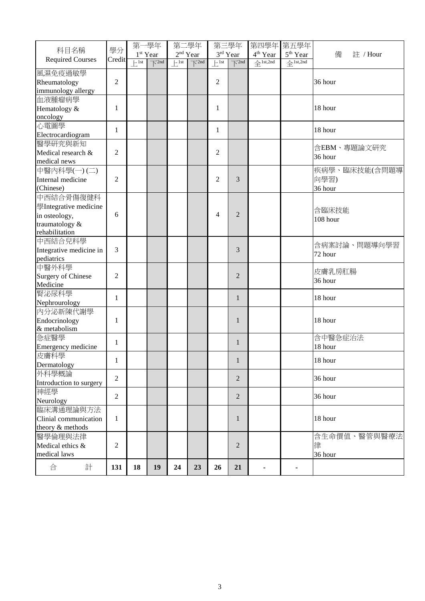|                           |                | 第一學年         |                                              | 第二學年                       |                                           | 第三學年             |                                | 第四學年 第五學年                       |                      |               |
|---------------------------|----------------|--------------|----------------------------------------------|----------------------------|-------------------------------------------|------------------|--------------------------------|---------------------------------|----------------------|---------------|
| 科目名稱                      | 學分             |              | $1^{\rm st}$ Year                            |                            | 2 <sup>nd</sup> Year                      |                  | 3rd Year                       | 4 <sup>th</sup> Year            | 5 <sup>th</sup> Year | 備<br>註 / Hour |
| <b>Required Courses</b>   | Credit         | $\vdash$ 1st | $\overline{\bigtriangledown}$ <sup>2nd</sup> | $\left  \cdot \right $ 1st | $\overline{\triangledown}$ <sup>2nd</sup> | $F^{\text{1st}}$ | $\overline{\mathcal{F}}^{2nd}$ | $\triangleq$ <sup>1st,2nd</sup> | $4$ 1st,2nd          |               |
| 風濕免疫過敏學                   |                |              |                                              |                            |                                           |                  |                                |                                 |                      |               |
| Rheumatology              | $\mathfrak{2}$ |              |                                              |                            |                                           | $\overline{2}$   |                                |                                 |                      | 36 hour       |
| immunology allergy        |                |              |                                              |                            |                                           |                  |                                |                                 |                      |               |
| 血液腫瘤病學                    |                |              |                                              |                            |                                           |                  |                                |                                 |                      |               |
| Hematology &              | $\mathbf{1}$   |              |                                              |                            |                                           | 1                |                                |                                 |                      | 18 hour       |
| oncology                  |                |              |                                              |                            |                                           |                  |                                |                                 |                      |               |
| 心電圖學                      |                |              |                                              |                            |                                           |                  |                                |                                 |                      |               |
| Electrocardiogram         | $\mathbf{1}$   |              |                                              |                            |                                           | 1                |                                |                                 |                      | 18 hour       |
| 醫學研究與新知                   |                |              |                                              |                            |                                           |                  |                                |                                 |                      |               |
| Medical research &        | $\overline{c}$ |              |                                              |                            |                                           | 2                |                                |                                 |                      | 含EBM、專題論文研究   |
| medical news              |                |              |                                              |                            |                                           |                  |                                |                                 |                      | 36 hour       |
| 中醫內科學(一)(二)               |                |              |                                              |                            |                                           |                  |                                |                                 |                      | 疾病學、臨床技能(含問題導 |
| Internal medicine         | $\overline{2}$ |              |                                              |                            |                                           | $\overline{2}$   | 3                              |                                 |                      | 向學習)          |
| (Chinese)                 |                |              |                                              |                            |                                           |                  |                                |                                 |                      | 36 hour       |
| 中西結合骨傷復健科                 |                |              |                                              |                            |                                           |                  |                                |                                 |                      |               |
| 學Integrative medicine     |                |              |                                              |                            |                                           |                  |                                |                                 |                      |               |
| in osteology,             | 6              |              |                                              |                            |                                           | 4                | $\overline{2}$                 |                                 |                      | 含臨床技能         |
| traumatology &            |                |              |                                              |                            |                                           |                  |                                |                                 |                      | 108 hour      |
| rehabilitation            |                |              |                                              |                            |                                           |                  |                                |                                 |                      |               |
| 中西結合兒科學                   |                |              |                                              |                            |                                           |                  |                                |                                 |                      |               |
| Integrative medicine in   | 3              |              |                                              |                            |                                           |                  | 3                              |                                 |                      | 含病案討論、問題導向學習  |
| pediatrics                |                |              |                                              |                            |                                           |                  |                                |                                 |                      | 72 hour       |
| 中醫外科學                     |                |              |                                              |                            |                                           |                  |                                |                                 |                      |               |
| <b>Surgery of Chinese</b> | $\overline{2}$ |              |                                              |                            |                                           |                  | $\overline{2}$                 |                                 |                      | 皮膚乳房肛腸        |
| Medicine                  |                |              |                                              |                            |                                           |                  |                                |                                 |                      | 36 hour       |
| 腎泌尿科學                     |                |              |                                              |                            |                                           |                  |                                |                                 |                      |               |
| Nephrourology             | $\mathbf{1}$   |              |                                              |                            |                                           |                  | 1                              |                                 |                      | 18 hour       |
| 内分泌新陳代謝學                  |                |              |                                              |                            |                                           |                  |                                |                                 |                      |               |
| Endocrinology             | 1              |              |                                              |                            |                                           |                  | $\mathbf{1}$                   |                                 |                      | 18 hour       |
| & metabolism              |                |              |                                              |                            |                                           |                  |                                |                                 |                      |               |
| 急症醫學                      |                |              |                                              |                            |                                           |                  |                                |                                 |                      | 含中醫急症治法       |
| Emergency medicine        | 1              |              |                                              |                            |                                           |                  | 1                              |                                 |                      | 18 hour       |
| 皮膚科學                      |                |              |                                              |                            |                                           |                  |                                |                                 |                      |               |
| Dermatology               | 1              |              |                                              |                            |                                           |                  | $\mathbf{1}$                   |                                 |                      | 18 hour       |
| 外科學概論                     |                |              |                                              |                            |                                           |                  |                                |                                 |                      |               |
| Introduction to surgery   | $\overline{2}$ |              |                                              |                            |                                           |                  | $\overline{2}$                 |                                 |                      | 36 hour       |
| 神經學                       |                |              |                                              |                            |                                           |                  |                                |                                 |                      |               |
| Neurology                 | $\overline{2}$ |              |                                              |                            |                                           |                  | $\overline{2}$                 |                                 |                      | 36 hour       |
| 臨床溝通理論與方法                 |                |              |                                              |                            |                                           |                  |                                |                                 |                      |               |
| Clinial communication     | 1              |              |                                              |                            |                                           |                  | 1                              |                                 |                      | 18 hour       |
| theory & methods          |                |              |                                              |                            |                                           |                  |                                |                                 |                      |               |
| 醫學倫理與法律                   |                |              |                                              |                            |                                           |                  |                                |                                 |                      | 含生命價值、醫管與醫療法  |
| Medical ethics &          | $\overline{c}$ |              |                                              |                            |                                           |                  | $\overline{2}$                 |                                 |                      | 律             |
| medical laws              |                |              |                                              |                            |                                           |                  |                                |                                 |                      | 36 hour       |
|                           |                |              |                                              |                            |                                           |                  |                                |                                 |                      |               |
| 合<br>計                    | 131            | 18           | 19                                           | 24                         | 23                                        | 26               | 21                             |                                 |                      |               |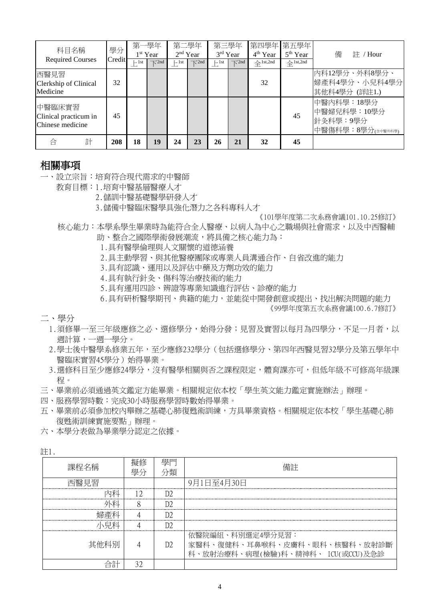| 科目名稱                                                | 學分     | 第一學年<br>$1st$ Year |                         | 第二學年<br>$2nd$ Year |                              | 第三學年<br>3rd Year |                              | 4 <sup>th</sup> Year                 | 第四學年 第五學年<br>5 <sup>th</sup> Year | 備<br>註 / Hour                                              |
|-----------------------------------------------------|--------|--------------------|-------------------------|--------------------|------------------------------|------------------|------------------------------|--------------------------------------|-----------------------------------|------------------------------------------------------------|
| <b>Required Courses</b>                             | Credit | $\vdash$ 1st       | $\overline{\wedge}$ 2nd | $\vdash$ 1st       | $\overline{\mathcal{N}}$ 2nd | $\sqcup$ 1st     | $\overline{\mathcal{N}}$ 2nd | $\hat{\mathcal{L}}^{\text{1st,2nd}}$ | $\triangle$ <sup>1st,2nd</sup>    |                                                            |
| 西醫見習<br>Clerkship of Clinical<br>Medicine           | 32     |                    |                         |                    |                              |                  |                              | 32                                   |                                   | 內科12學分、外科8學分、<br> 婦產科4學分、小兒科4學分<br>其他科4學分 (詳註1.)           |
| 中醫臨床實習<br>Clinical practicum in<br>Chinese medicine | 45     |                    |                         |                    |                              |                  |                              |                                      | 45                                | 中醫內科學:18學分<br>中醫婦兒科學: 10學分<br>針灸科學:9學分<br>中醫傷科學:8學分(金醫外科學) |
| 計<br>合                                              | 208    | 18                 | 19                      | 24                 | 23                           | 26               | 21                           | 32                                   | 45                                |                                                            |

#### 相關事項

- 一、設立宗旨:培育符合現代需求的中醫師
	- 教育目標:1.培育中醫基層醫療人才
		- 2.儲訓中醫基礎醫學研發人才
		- 3.儲備中醫臨床醫學具強化潛力之各科專科人才

《101學年度第二次系務會議101.10.25修訂》

- 核心能力:本學系學生畢業時為能符合全人醫療、以病人為中心之職場與社會需求,以及中西醫輔 助、整合之國際學術發展潮流,將具備之核心能力為:
	- 1.具有醫學倫理與人文關懷的道德涵養
	- 2.具主動學習、與其他醫療團隊或專業人員溝通合作、自省改進的能力
	- 3.具有認識、運用以及評估中藥及方劑功效的能力
	- 4.具有執行針灸、傷科等治療技術的能力
	- 5.具有運用四診、辨證等專業知識進行評估、診療的能力
	- 6.具有研析醫學期刊、典籍的能力,並能從中開發創意或提出、找出解決問題的能力

《99學年度第五次系務會議100.6.7修訂》

二、學分

- 1.須修畢一至三年級應修之必、選修學分,始得分發;見習及實習以每月為四學分,不足一月者,以 週計算,一週一學分。
- 2.學士後中醫學系修業五年,至少應修232學分(包括選修學分、第四年西醫見習32學分及第五學年中 醫臨床實習45學分)始得畢業。
- 3.選修科目至少應修24學分,沒有醫學相關與否之課程限定,體育課亦可,但低年級不可修高年級課 程。
- 三、畢業前必須通過英文鑑定方能畢業。相關規定依本校「學生英文能力鑑定實施辦法」辦理。
- 四、服務學習時數:完成30小時服務學習時數始得畢業。
- 五、畢業前必須參加校內舉辦之基礎心肺復甦術訓練,方具畢業資格。相關規定依本校「學生基礎心肺 復甦術訓練實施要點」辦理。

六、本學分表做為畢業學分認定之依據。

註1.

| 課程名稱                    | 學分                      | 壆門<br>分類 | 備註                                                                                    |
|-------------------------|-------------------------|----------|---------------------------------------------------------------------------------------|
| 西醫見習<br>------------    | ----------------------- |          | 9月1日至4月30日                                                                            |
|                         |                         |          |                                                                                       |
|                         |                         |          |                                                                                       |
|                         |                         |          |                                                                                       |
|                         |                         |          |                                                                                       |
| 其他科別                    |                         | D2.      | 依醫院編組、科別選定4學分見習:<br>家醫科、復健科、耳鼻喉科、皮膚科、眼科、核醫科、放射診斷<br>科、放射治療科、病理(檢驗)科、精神科、 ICU(或CCU)及急診 |
| ブデ<br>⋍<br>$\mathbf{H}$ |                         |          |                                                                                       |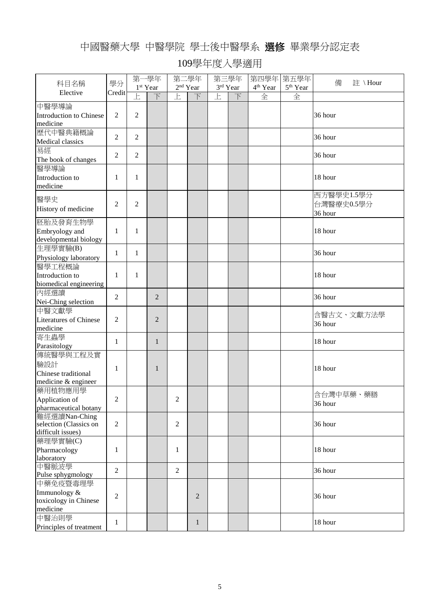## 中國醫藥大學 中醫學院 學士後中醫學系 選修 畢業學分認定表

|                                             |                | 第一學年           |                      | 第二學年           |                   | 第三學年 |          | 第四學年 第五學年            |                      |              |
|---------------------------------------------|----------------|----------------|----------------------|----------------|-------------------|------|----------|----------------------|----------------------|--------------|
| 科目名稱                                        | 學分             |                | 1 <sup>st</sup> Year |                | $2^{\rm nd}$ Year |      | 3rd Year | 4 <sup>th</sup> Year | 5 <sup>th</sup> Year | 備<br>註 \Hour |
| Elective                                    | Credit         | E              | 下                    | 上              | 下                 | 上    | 下        | 全                    | 全                    |              |
| 中醫學導論                                       |                |                |                      |                |                   |      |          |                      |                      |              |
| Introduction to Chinese                     | 2              | $\overline{2}$ |                      |                |                   |      |          |                      |                      | 36 hour      |
| medicine                                    |                |                |                      |                |                   |      |          |                      |                      |              |
| 歷代中醫典籍概論                                    |                |                |                      |                |                   |      |          |                      |                      |              |
| Medical classics                            | $\overline{c}$ | $\overline{2}$ |                      |                |                   |      |          |                      |                      | 36 hour      |
| 易經                                          |                |                |                      |                |                   |      |          |                      |                      |              |
| The book of changes                         | $\overline{c}$ | $\overline{2}$ |                      |                |                   |      |          |                      |                      | 36 hour      |
| 醫學導論                                        |                |                |                      |                |                   |      |          |                      |                      |              |
| Introduction to                             | 1              | 1              |                      |                |                   |      |          |                      |                      | 18 hour      |
| medicine                                    |                |                |                      |                |                   |      |          |                      |                      |              |
|                                             |                |                |                      |                |                   |      |          |                      |                      | 西方醫學史1.5學分   |
| 醫學史                                         | $\overline{2}$ | $\mathfrak{2}$ |                      |                |                   |      |          |                      |                      | 台灣醫療史0.5學分   |
| History of medicine                         |                |                |                      |                |                   |      |          |                      |                      | 36 hour      |
| 胚胎及發育生物學                                    |                |                |                      |                |                   |      |          |                      |                      |              |
| Embryology and                              | $\mathbf{1}$   | $\mathbf{1}$   |                      |                |                   |      |          |                      |                      | 18 hour      |
| developmental biology                       |                |                |                      |                |                   |      |          |                      |                      |              |
| 生理學實驗(B)                                    |                |                |                      |                |                   |      |          |                      |                      | 36 hour      |
| Physiology laboratory                       | $\mathbf{1}$   | $\mathbf{1}$   |                      |                |                   |      |          |                      |                      |              |
| 醫學工程概論                                      |                |                |                      |                |                   |      |          |                      |                      |              |
| Introduction to                             | 1              | 1              |                      |                |                   |      |          |                      |                      | 18 hour      |
| biomedical engineering                      |                |                |                      |                |                   |      |          |                      |                      |              |
| 內經選讀                                        | 2              |                | $\overline{2}$       |                |                   |      |          |                      |                      | 36 hour      |
| Nei-Ching selection                         |                |                |                      |                |                   |      |          |                      |                      |              |
| 中醫文獻學                                       |                |                |                      |                |                   |      |          |                      |                      | 含醫古文、文獻方法學   |
| <b>Literatures of Chinese</b>               | $\overline{2}$ |                | $\overline{2}$       |                |                   |      |          |                      |                      | 36 hour      |
| medicine                                    |                |                |                      |                |                   |      |          |                      |                      |              |
| 寄生蟲學                                        | $\mathbf{1}$   |                | $\mathbf{1}$         |                |                   |      |          |                      |                      | 18 hour      |
| Parasitology                                |                |                |                      |                |                   |      |          |                      |                      |              |
| 傳統醫學與工程及實                                   |                |                |                      |                |                   |      |          |                      |                      |              |
| 驗設計                                         | 1              |                | 1                    |                |                   |      |          |                      |                      | 18 hour      |
| Chinese traditional                         |                |                |                      |                |                   |      |          |                      |                      |              |
| medicine & engineer                         |                |                |                      |                |                   |      |          |                      |                      |              |
| 藥用植物應用學                                     |                |                |                      |                |                   |      |          |                      |                      | 含台灣中草藥、藥膳    |
| Application of                              | $\overline{2}$ |                |                      | $\overline{2}$ |                   |      |          |                      |                      | 36 hour      |
| pharmaceutical botany                       |                |                |                      |                |                   |      |          |                      |                      |              |
| 難經選讀Nan-Ching                               |                |                |                      |                |                   |      |          |                      |                      |              |
| selection (Classics on<br>difficult issues) | $\overline{2}$ |                |                      | $\overline{2}$ |                   |      |          |                      |                      | 36 hour      |
| 藥理學實驗(C)                                    |                |                |                      |                |                   |      |          |                      |                      |              |
| Pharmacology                                | 1              |                |                      | 1              |                   |      |          |                      |                      | 18 hour      |
| laboratory                                  |                |                |                      |                |                   |      |          |                      |                      |              |
| 中醫脈波學                                       |                |                |                      |                |                   |      |          |                      |                      |              |
| Pulse sphygmology                           | 2              |                |                      | $\overline{2}$ |                   |      |          |                      |                      | 36 hour      |
| 中藥免疫暨毒理學                                    |                |                |                      |                |                   |      |          |                      |                      |              |
| Immunology &                                |                |                |                      |                |                   |      |          |                      |                      |              |
| toxicology in Chinese                       | $\overline{c}$ |                |                      |                | $\overline{2}$    |      |          |                      |                      | 36 hour      |
| medicine                                    |                |                |                      |                |                   |      |          |                      |                      |              |
| 中醫治則學                                       | $\mathbf{1}$   |                |                      |                | $\mathbf{1}$      |      |          |                      |                      | 18 hour      |
| Principles of treatment                     |                |                |                      |                |                   |      |          |                      |                      |              |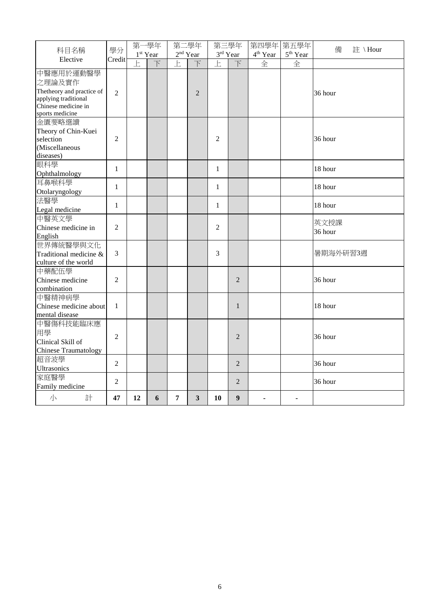|                                                                                                                    | 學分             | 第一學年              |                          | 第二學年              |                          | 第三學年           |                     | 第四學年 第五學年         |                      | 備<br>註 \Hour    |
|--------------------------------------------------------------------------------------------------------------------|----------------|-------------------|--------------------------|-------------------|--------------------------|----------------|---------------------|-------------------|----------------------|-----------------|
| 科目名稱                                                                                                               |                | $1^{\rm st}$ Year |                          | $2^{\rm nd}$ Year |                          |                | 3rd Year            | $4^{\rm th}$ Year | 5 <sup>th</sup> Year |                 |
| Elective                                                                                                           | Credit         | $\overline{E}$    | $\overline{\mathcal{F}}$ | $\overline{E}$    | $\overline{\mathcal{F}}$ | $\overline{E}$ | $\overline{\Gamma}$ | 全                 | 全                    |                 |
| 中醫應用於運動醫學<br>之理論及實作<br>Thetheory and practice of<br>applying traditional<br>Chinese medicine in<br>sports medicine | $\overline{2}$ |                   |                          |                   | $\overline{2}$           |                |                     |                   |                      | 36 hour         |
| 金匱要略選讀<br>Theory of Chin-Kuei<br>selection<br>(Miscellaneous<br>diseases)                                          | $\overline{2}$ |                   |                          |                   |                          | $\overline{2}$ |                     |                   |                      | 36 hour         |
| 眼科學<br>Ophthalmology                                                                                               | $\mathbf{1}$   |                   |                          |                   |                          | $\mathbf{1}$   |                     |                   |                      | 18 hour         |
| 耳鼻喉科學<br>Otolaryngology                                                                                            | $\mathbf{1}$   |                   |                          |                   |                          | $\mathbf{1}$   |                     |                   |                      | 18 hour         |
| 法醫學<br>Legal medicine                                                                                              | $\mathbf{1}$   |                   |                          |                   |                          | $\mathbf{1}$   |                     |                   |                      | 18 hour         |
| 中醫英文學<br>Chinese medicine in<br>English                                                                            | $\overline{c}$ |                   |                          |                   |                          | $\overline{2}$ |                     |                   |                      | 英文授課<br>36 hour |
| 世界傳統醫學與文化<br>Traditional medicine &<br>culture of the world                                                        | 3              |                   |                          |                   |                          | 3              |                     |                   |                      | 暑期海外研習3週        |
| 中藥配伍學<br>Chinese medicine<br>combination                                                                           | $\overline{2}$ |                   |                          |                   |                          |                | $\overline{2}$      |                   |                      | 36 hour         |
| 中醫精神病學<br>Chinese medicine about<br>mental disease                                                                 | $\mathbf{1}$   |                   |                          |                   |                          |                | 1                   |                   |                      | 18 hour         |
| 中醫傷科技能臨床應<br>用學<br>Clinical Skill of<br><b>Chinese Traumatology</b>                                                | $\overline{2}$ |                   |                          |                   |                          |                | $\overline{2}$      |                   |                      | 36 hour         |
| 超音波學<br><b>Ultrasonics</b>                                                                                         | $\overline{2}$ |                   |                          |                   |                          |                | $\overline{2}$      |                   |                      | 36 hour         |
| 家庭醫學<br>Family medicine                                                                                            | $\overline{2}$ |                   |                          |                   |                          |                | 2                   |                   |                      | 36 hour         |
| 小<br>計                                                                                                             | 47             | 12                | 6                        | 7                 | 3                        | 10             | $\boldsymbol{9}$    |                   |                      |                 |